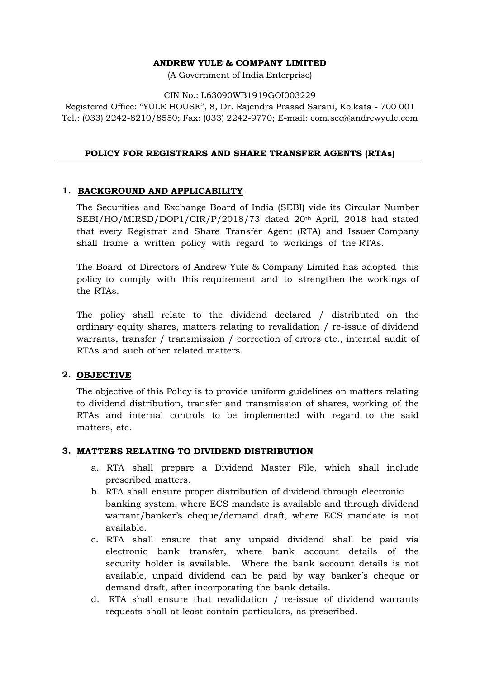#### **ANDREW YULE & COMPANY LIMITED**

(A Government of India Enterprise)

#### CIN No.: L63090WB1919GOI003229

Registered Office: "YULE HOUSE", 8, Dr. Rajendra Prasad Sarani, Kolkata - 700 001 Tel.: (033) 2242-8210/8550; Fax: (033) 2242-9770; E-mail: com.sec@andrewyule.com

#### **POLICY FOR REGISTRARS AND SHARE TRANSFER AGENTS (RTAs)**

#### **1. BACKGROUND AND APPLICABILITY**

The Securities and Exchange Board of India (SEBI) vide its Circular Number SEBI/HO/MIRSD/DOP1/CIR/P/2018/73 dated 20th April, 2018 had stated that every Registrar and Share Transfer Agent (RTA) and Issuer Company shall frame a written policy with regard to workings of the RTAs.

The Board of Directors of Andrew Yule & Company Limited has adopted this policy to comply with this requirement and to strengthen the workings of the RTAs.

The policy shall relate to the dividend declared / distributed on the ordinary equity shares, matters relating to revalidation / re-issue of dividend warrants, transfer / transmission / correction of errors etc., internal audit of RTAs and such other related matters.

#### **2. OBJECTIVE**

The objective of this Policy is to provide uniform guidelines on matters relating to dividend distribution, transfer and transmission of shares, working of the RTAs and internal controls to be implemented with regard to the said matters, etc.

### **3. MATTERS RELATING TO DIVIDEND DISTRIBUTION**

- a. RTA shall prepare a Dividend Master File, which shall include prescribed matters.
- b. RTA shall ensure proper distribution of dividend through electronic banking system, where ECS mandate is available and through dividend warrant/banker's cheque/demand draft, where ECS mandate is not available.
- c. RTA shall ensure that any unpaid dividend shall be paid via electronic bank transfer, where bank account details of the security holder is available. Where the bank account details is not available, unpaid dividend can be paid by way banker's cheque or demand draft, after incorporating the bank details.
- d. RTA shall ensure that revalidation / re-issue of dividend warrants requests shall at least contain particulars, as prescribed.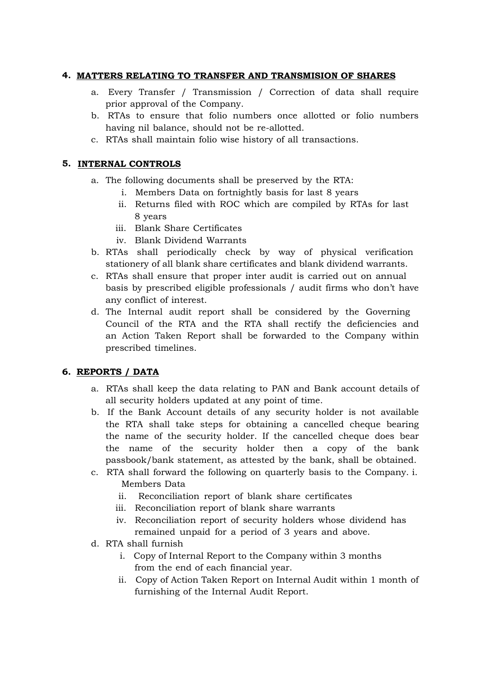### **4. MATTERS RELATING TO TRANSFER AND TRANSMISION OF SHARES**

- a. Every Transfer / Transmission / Correction of data shall require prior approval of the Company.
- b. RTAs to ensure that folio numbers once allotted or folio numbers having nil balance, should not be re-allotted.
- c. RTAs shall maintain folio wise history of all transactions.

## **5. INTERNAL CONTROLS**

- a. The following documents shall be preserved by the RTA:
	- i. Members Data on fortnightly basis for last 8 years
	- ii. Returns filed with ROC which are compiled by RTAs for last 8 years
	- iii. Blank Share Certificates
	- iv. Blank Dividend Warrants
- b. RTAs shall periodically check by way of physical verification stationery of all blank share certificates and blank dividend warrants.
- c. RTAs shall ensure that proper inter audit is carried out on annual basis by prescribed eligible professionals / audit firms who don't have any conflict of interest.
- d. The Internal audit report shall be considered by the Governing Council of the RTA and the RTA shall rectify the deficiencies and an Action Taken Report shall be forwarded to the Company within prescribed timelines.

# **6. REPORTS / DATA**

- a. RTAs shall keep the data relating to PAN and Bank account details of all security holders updated at any point of time.
- b. If the Bank Account details of any security holder is not available the RTA shall take steps for obtaining a cancelled cheque bearing the name of the security holder. If the cancelled cheque does bear the name of the security holder then a copy of the bank passbook/bank statement, as attested by the bank, shall be obtained.
- c. RTA shall forward the following on quarterly basis to the Company. i. Members Data
	- ii. Reconciliation report of blank share certificates
	- iii. Reconciliation report of blank share warrants
	- iv. Reconciliation report of security holders whose dividend has remained unpaid for a period of 3 years and above.
- d. RTA shall furnish
	- i. Copy of Internal Report to the Company within 3 months from the end of each financial year.
	- ii. Copy of Action Taken Report on Internal Audit within 1 month of furnishing of the Internal Audit Report.